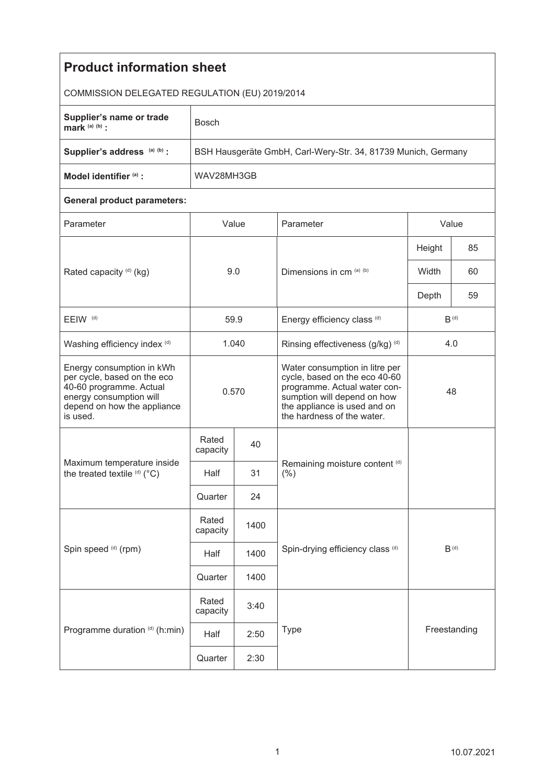| <b>Product information sheet</b>                                                                                                                          |                                                               |      |                                                                                                                                                                                              |           |    |  |  |  |
|-----------------------------------------------------------------------------------------------------------------------------------------------------------|---------------------------------------------------------------|------|----------------------------------------------------------------------------------------------------------------------------------------------------------------------------------------------|-----------|----|--|--|--|
| COMMISSION DELEGATED REGULATION (EU) 2019/2014                                                                                                            |                                                               |      |                                                                                                                                                                                              |           |    |  |  |  |
| Supplier's name or trade<br>mark $(a)$ $(b)$ :                                                                                                            | <b>Bosch</b>                                                  |      |                                                                                                                                                                                              |           |    |  |  |  |
| Supplier's address (a) (b) :                                                                                                                              | BSH Hausgeräte GmbH, Carl-Wery-Str. 34, 81739 Munich, Germany |      |                                                                                                                                                                                              |           |    |  |  |  |
| Model identifier (a) :                                                                                                                                    | WAV28MH3GB                                                    |      |                                                                                                                                                                                              |           |    |  |  |  |
| <b>General product parameters:</b>                                                                                                                        |                                                               |      |                                                                                                                                                                                              |           |    |  |  |  |
| Parameter                                                                                                                                                 | Value                                                         |      | Parameter                                                                                                                                                                                    | Value     |    |  |  |  |
| Rated capacity (d) (kg)                                                                                                                                   | 9.0                                                           |      | Dimensions in cm (a) (b)                                                                                                                                                                     | Height    | 85 |  |  |  |
|                                                                                                                                                           |                                                               |      |                                                                                                                                                                                              | Width     | 60 |  |  |  |
|                                                                                                                                                           |                                                               |      |                                                                                                                                                                                              | Depth     | 59 |  |  |  |
| EEIW <sup>(d)</sup>                                                                                                                                       | 59.9                                                          |      | Energy efficiency class (d)                                                                                                                                                                  | $B^{(d)}$ |    |  |  |  |
| Washing efficiency index (d)                                                                                                                              | 1.040                                                         |      | Rinsing effectiveness (g/kg) (d)                                                                                                                                                             | 4.0       |    |  |  |  |
| Energy consumption in kWh<br>per cycle, based on the eco<br>40-60 programme. Actual<br>energy consumption will<br>depend on how the appliance<br>is used. | 0.570                                                         |      | Water consumption in litre per<br>cycle, based on the eco 40-60<br>programme. Actual water con-<br>sumption will depend on how<br>the appliance is used and on<br>the hardness of the water. | 48        |    |  |  |  |
| Maximum temperature inside<br>the treated textile (d) (°C)                                                                                                | Rated<br>capacity                                             | 40   |                                                                                                                                                                                              |           |    |  |  |  |
|                                                                                                                                                           | Half                                                          | 31   | Remaining moisture content (d)<br>(% )                                                                                                                                                       |           |    |  |  |  |
|                                                                                                                                                           | Quarter                                                       | 24   |                                                                                                                                                                                              |           |    |  |  |  |
| Spin speed (d) (rpm)                                                                                                                                      | Rated<br>capacity                                             | 1400 | Spin-drying efficiency class (d)<br>$B^{(d)}$                                                                                                                                                |           |    |  |  |  |
|                                                                                                                                                           | Half                                                          | 1400 |                                                                                                                                                                                              |           |    |  |  |  |
|                                                                                                                                                           | Quarter                                                       | 1400 |                                                                                                                                                                                              |           |    |  |  |  |
| Programme duration (d) (h:min)                                                                                                                            | Rated<br>capacity                                             | 3:40 | Freestanding<br>Type<br>2:50<br>2:30                                                                                                                                                         |           |    |  |  |  |
|                                                                                                                                                           | Half                                                          |      |                                                                                                                                                                                              |           |    |  |  |  |
|                                                                                                                                                           | Quarter                                                       |      |                                                                                                                                                                                              |           |    |  |  |  |